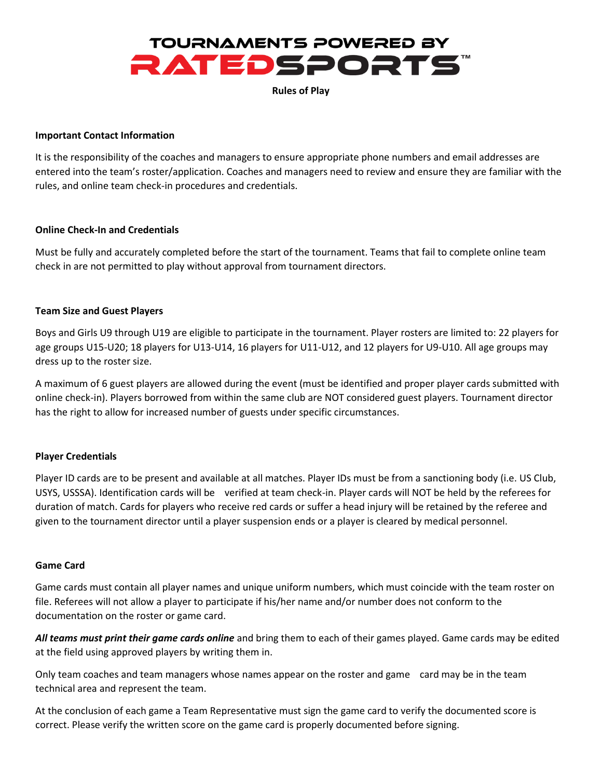

**Rules of Play**

#### **Important Contact Information**

It is the responsibility of the coaches and managers to ensure appropriate phone numbers and email addresses are entered into the team's roster/application. Coaches and managers need to review and ensure they are familiar with the rules, and online team check-in procedures and credentials.

### **Online Check-In and Credentials**

Must be fully and accurately completed before the start of the tournament. Teams that fail to complete online team check in are not permitted to play without approval from tournament directors.

### **Team Size and Guest Players**

Boys and Girls U9 through U19 are eligible to participate in the tournament. Player rosters are limited to: 22 players for age groups U15-U20; 18 players for U13-U14, 16 players for U11-U12, and 12 players for U9-U10. All age groups may dress up to the roster size.

A maximum of 6 guest players are allowed during the event (must be identified and proper player cards submitted with online check-in). Players borrowed from within the same club are NOT considered guest players. Tournament director has the right to allow for increased number of guests under specific circumstances.

#### **Player Credentials**

Player ID cards are to be present and available at all matches. Player IDs must be from a sanctioning body (i.e. US Club, USYS, USSSA). Identification cards will be verified at team check-in. Player cards will NOT be held by the referees for duration of match. Cards for players who receive red cards or suffer a head injury will be retained by the referee and given to the tournament director until a player suspension ends or a player is cleared by medical personnel.

#### **Game Card**

Game cards must contain all player names and unique uniform numbers, which must coincide with the team roster on file. Referees will not allow a player to participate if his/her name and/or number does not conform to the documentation on the roster or game card.

*All teams must print their game cards online* and bring them to each of their games played. Game cards may be edited at the field using approved players by writing them in.

Only team coaches and team managers whose names appear on the roster and game card may be in the team technical area and represent the team.

At the conclusion of each game a Team Representative must sign the game card to verify the documented score is correct. Please verify the written score on the game card is properly documented before signing.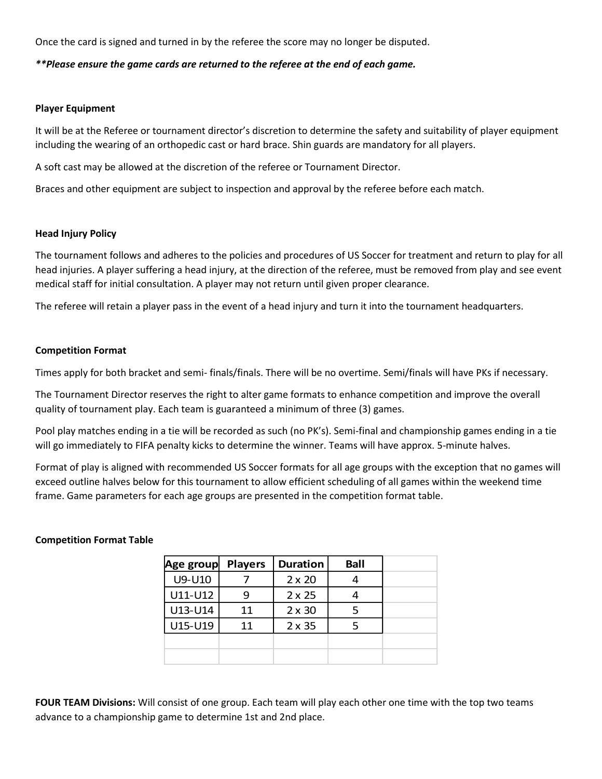Once the card is signed and turned in by the referee the score may no longer be disputed.

## *\*\*Please ensure the game cards are returned to the referee at the end of each game.*

#### **Player Equipment**

It will be at the Referee or tournament director's discretion to determine the safety and suitability of player equipment including the wearing of an orthopedic cast or hard brace. Shin guards are mandatory for all players.

A soft cast may be allowed at the discretion of the referee or Tournament Director.

Braces and other equipment are subject to inspection and approval by the referee before each match.

### **Head Injury Policy**

The tournament follows and adheres to the policies and procedures of US Soccer for treatment and return to play for all head injuries. A player suffering a head injury, at the direction of the referee, must be removed from play and see event medical staff for initial consultation. A player may not return until given proper clearance.

The referee will retain a player pass in the event of a head injury and turn it into the tournament headquarters.

### **Competition Format**

Times apply for both bracket and semi- finals/finals. There will be no overtime. Semi/finals will have PKs if necessary.

The Tournament Director reserves the right to alter game formats to enhance competition and improve the overall quality of tournament play. Each team is guaranteed a minimum of three (3) games.

Pool play matches ending in a tie will be recorded as such (no PK's). Semi-final and championship games ending in a tie will go immediately to FIFA penalty kicks to determine the winner. Teams will have approx. 5-minute halves.

Format of play is aligned with recommended US Soccer formats for all age groups with the exception that no games will exceed outline halves below for this tournament to allow efficient scheduling of all games within the weekend time frame. Game parameters for each age groups are presented in the competition format table.

#### **Competition Format Table**

| Age group | <b>Players</b> | <b>Duration</b> | <b>Ball</b> |
|-----------|----------------|-----------------|-------------|
| U9-U10    |                | $2 \times 20$   |             |
| U11-U12   |                | $2 \times 25$   |             |
| U13-U14   | 11             | $2 \times 30$   |             |
| U15-U19   | 11             | $2 \times 35$   |             |
|           |                |                 |             |
|           |                |                 |             |

**FOUR TEAM Divisions:** Will consist of one group. Each team will play each other one time with the top two teams advance to a championship game to determine 1st and 2nd place.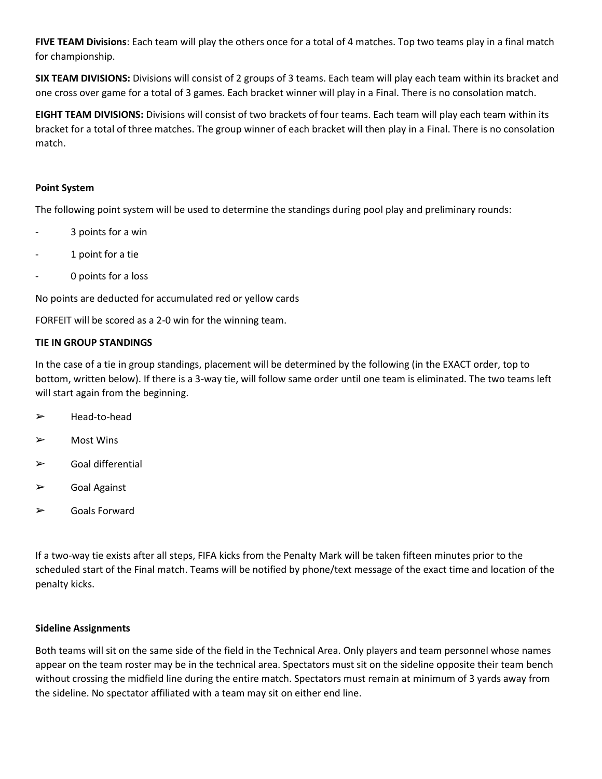**FIVE TEAM Divisions**: Each team will play the others once for a total of 4 matches. Top two teams play in a final match for championship.

**SIX TEAM DIVISIONS:** Divisions will consist of 2 groups of 3 teams. Each team will play each team within its bracket and one cross over game for a total of 3 games. Each bracket winner will play in a Final. There is no consolation match.

**EIGHT TEAM DIVISIONS:** Divisions will consist of two brackets of four teams. Each team will play each team within its bracket for a total of three matches. The group winner of each bracket will then play in a Final. There is no consolation match.

# **Point System**

The following point system will be used to determine the standings during pool play and preliminary rounds:

- 3 points for a win
- 1 point for a tie
- 0 points for a loss

No points are deducted for accumulated red or yellow cards

FORFEIT will be scored as a 2-0 win for the winning team.

# **TIE IN GROUP STANDINGS**

In the case of a tie in group standings, placement will be determined by the following (in the EXACT order, top to bottom, written below). If there is a 3-way tie, will follow same order until one team is eliminated. The two teams left will start again from the beginning.

- ➢ Head-to-head
- ➢ Most Wins
- $\triangleright$  Goal differential
- ➢ Goal Against
- ➢ Goals Forward

If a two-way tie exists after all steps, FIFA kicks from the Penalty Mark will be taken fifteen minutes prior to the scheduled start of the Final match. Teams will be notified by phone/text message of the exact time and location of the penalty kicks.

# **Sideline Assignments**

Both teams will sit on the same side of the field in the Technical Area. Only players and team personnel whose names appear on the team roster may be in the technical area. Spectators must sit on the sideline opposite their team bench without crossing the midfield line during the entire match. Spectators must remain at minimum of 3 yards away from the sideline. No spectator affiliated with a team may sit on either end line.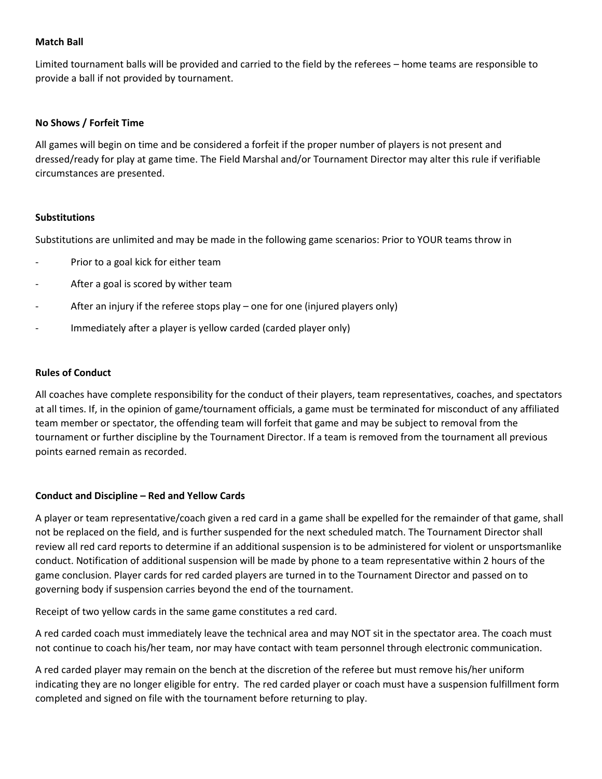## **Match Ball**

Limited tournament balls will be provided and carried to the field by the referees – home teams are responsible to provide a ball if not provided by tournament.

## **No Shows / Forfeit Time**

All games will begin on time and be considered a forfeit if the proper number of players is not present and dressed/ready for play at game time. The Field Marshal and/or Tournament Director may alter this rule if verifiable circumstances are presented.

### **Substitutions**

Substitutions are unlimited and may be made in the following game scenarios: Prior to YOUR teams throw in

- Prior to a goal kick for either team
- After a goal is scored by wither team
- After an injury if the referee stops play one for one (injured players only)
- Immediately after a player is yellow carded (carded player only)

## **Rules of Conduct**

All coaches have complete responsibility for the conduct of their players, team representatives, coaches, and spectators at all times. If, in the opinion of game/tournament officials, a game must be terminated for misconduct of any affiliated team member or spectator, the offending team will forfeit that game and may be subject to removal from the tournament or further discipline by the Tournament Director. If a team is removed from the tournament all previous points earned remain as recorded.

# **Conduct and Discipline – Red and Yellow Cards**

A player or team representative/coach given a red card in a game shall be expelled for the remainder of that game, shall not be replaced on the field, and is further suspended for the next scheduled match. The Tournament Director shall review all red card reports to determine if an additional suspension is to be administered for violent or unsportsmanlike conduct. Notification of additional suspension will be made by phone to a team representative within 2 hours of the game conclusion. Player cards for red carded players are turned in to the Tournament Director and passed on to governing body if suspension carries beyond the end of the tournament.

Receipt of two yellow cards in the same game constitutes a red card.

A red carded coach must immediately leave the technical area and may NOT sit in the spectator area. The coach must not continue to coach his/her team, nor may have contact with team personnel through electronic communication.

A red carded player may remain on the bench at the discretion of the referee but must remove his/her uniform indicating they are no longer eligible for entry. The red carded player or coach must have a suspension fulfillment form completed and signed on file with the tournament before returning to play.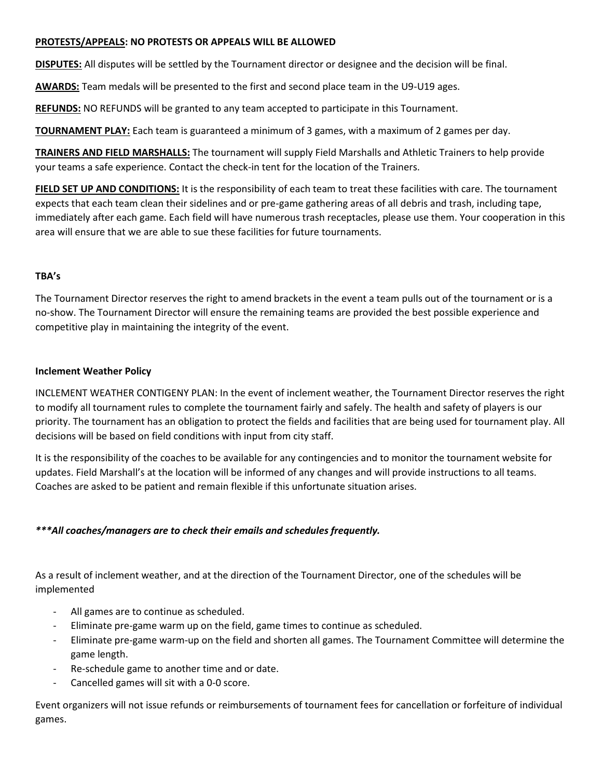# **PROTESTS/APPEALS: NO PROTESTS OR APPEALS WILL BE ALLOWED**

**DISPUTES:** All disputes will be settled by the Tournament director or designee and the decision will be final.

**AWARDS:** Team medals will be presented to the first and second place team in the U9-U19 ages.

**REFUNDS:** NO REFUNDS will be granted to any team accepted to participate in this Tournament.

**TOURNAMENT PLAY:** Each team is guaranteed a minimum of 3 games, with a maximum of 2 games per day.

**TRAINERS AND FIELD MARSHALLS:** The tournament will supply Field Marshalls and Athletic Trainers to help provide your teams a safe experience. Contact the check-in tent for the location of the Trainers.

**FIELD SET UP AND CONDITIONS:** It is the responsibility of each team to treat these facilities with care. The tournament expects that each team clean their sidelines and or pre-game gathering areas of all debris and trash, including tape, immediately after each game. Each field will have numerous trash receptacles, please use them. Your cooperation in this area will ensure that we are able to sue these facilities for future tournaments.

# **TBA's**

The Tournament Director reserves the right to amend brackets in the event a team pulls out of the tournament or is a no-show. The Tournament Director will ensure the remaining teams are provided the best possible experience and competitive play in maintaining the integrity of the event.

# **Inclement Weather Policy**

INCLEMENT WEATHER CONTIGENY PLAN: In the event of inclement weather, the Tournament Director reserves the right to modify all tournament rules to complete the tournament fairly and safely. The health and safety of players is our priority. The tournament has an obligation to protect the fields and facilities that are being used for tournament play. All decisions will be based on field conditions with input from city staff.

It is the responsibility of the coaches to be available for any contingencies and to monitor the tournament website for updates. Field Marshall's at the location will be informed of any changes and will provide instructions to all teams. Coaches are asked to be patient and remain flexible if this unfortunate situation arises.

# *\*\*\*All coaches/managers are to check their emails and schedules frequently.*

As a result of inclement weather, and at the direction of the Tournament Director, one of the schedules will be implemented

- All games are to continue as scheduled.
- Eliminate pre-game warm up on the field, game times to continue as scheduled.
- Eliminate pre-game warm-up on the field and shorten all games. The Tournament Committee will determine the game length.
- Re-schedule game to another time and or date.
- Cancelled games will sit with a 0-0 score.

Event organizers will not issue refunds or reimbursements of tournament fees for cancellation or forfeiture of individual games.